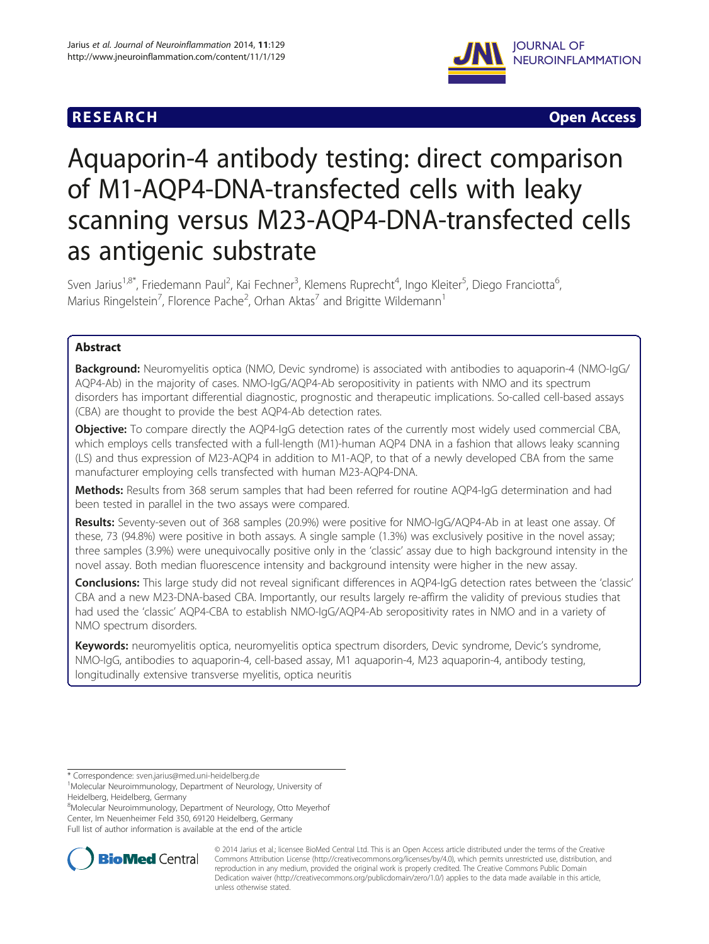# **RESEARCH RESEARCH** *CHECK CHECK CHECK CHECK CHECK CHECK CHECK CHECK CHECK CHECK CHECK CHECK CHECK CHECK CHECK CHECK CHECK CHECK CHECK CHECK CHECK CHECK CHECK CHECK CHECK CHECK CHECK CHECK CHECK CHECK CHECK CHECK CHECK*



# Aquaporin-4 antibody testing: direct comparison of M1-AQP4-DNA-transfected cells with leaky scanning versus M23-AQP4-DNA-transfected cells as antigenic substrate

Sven Jarius<sup>1,8\*</sup>, Friedemann Paul<sup>2</sup>, Kai Fechner<sup>3</sup>, Klemens Ruprecht<sup>4</sup>, Ingo Kleiter<sup>5</sup>, Diego Franciotta<sup>6</sup> , Marius Ringelstein<sup>7</sup>, Florence Pache<sup>2</sup>, Orhan Aktas<sup>7</sup> and Brigitte Wildemann<sup>1</sup>

# Abstract

Background: Neuromyelitis optica (NMO, Devic syndrome) is associated with antibodies to aquaporin-4 (NMO-IgG/ AQP4-Ab) in the majority of cases. NMO-IgG/AQP4-Ab seropositivity in patients with NMO and its spectrum disorders has important differential diagnostic, prognostic and therapeutic implications. So-called cell-based assays (CBA) are thought to provide the best AQP4-Ab detection rates.

Objective: To compare directly the AQP4-IqG detection rates of the currently most widely used commercial CBA, which employs cells transfected with a full-length (M1)-human AQP4 DNA in a fashion that allows leaky scanning (LS) and thus expression of M23-AQP4 in addition to M1-AQP, to that of a newly developed CBA from the same manufacturer employing cells transfected with human M23-AQP4-DNA.

Methods: Results from 368 serum samples that had been referred for routine AQP4-IgG determination and had been tested in parallel in the two assays were compared.

Results: Seventy-seven out of 368 samples (20.9%) were positive for NMO-IgG/AQP4-Ab in at least one assay. Of these, 73 (94.8%) were positive in both assays. A single sample (1.3%) was exclusively positive in the novel assay; three samples (3.9%) were unequivocally positive only in the 'classic' assay due to high background intensity in the novel assay. Both median fluorescence intensity and background intensity were higher in the new assay.

Conclusions: This large study did not reveal significant differences in AQP4-IgG detection rates between the 'classic' CBA and a new M23-DNA-based CBA. Importantly, our results largely re-affirm the validity of previous studies that had used the 'classic' AQP4-CBA to establish NMO-IgG/AQP4-Ab seropositivity rates in NMO and in a variety of NMO spectrum disorders.

Keywords: neuromyelitis optica, neuromyelitis optica spectrum disorders, Devic syndrome, Devic's syndrome, NMO-IgG, antibodies to aquaporin-4, cell-based assay, M1 aquaporin-4, M23 aquaporin-4, antibody testing, longitudinally extensive transverse myelitis, optica neuritis

8 Molecular Neuroimmunology, Department of Neurology, Otto Meyerhof Center, Im Neuenheimer Feld 350, 69120 Heidelberg, Germany

Full list of author information is available at the end of the article



© 2014 Jarius et al.; licensee BioMed Central Ltd. This is an Open Access article distributed under the terms of the Creative Commons Attribution License [\(http://creativecommons.org/licenses/by/4.0\)](http://creativecommons.org/licenses/by/4.0), which permits unrestricted use, distribution, and reproduction in any medium, provided the original work is properly credited. The Creative Commons Public Domain Dedication waiver [\(http://creativecommons.org/publicdomain/zero/1.0/](http://creativecommons.org/publicdomain/zero/1.0/)) applies to the data made available in this article, unless otherwise stated.

<sup>\*</sup> Correspondence: [sven.jarius@med.uni-heidelberg.de](mailto:sven.jarius@med.uni-heidelberg.de) <sup>1</sup>

Molecular Neuroimmunology, Department of Neurology, University of Heidelberg, Heidelberg, Germany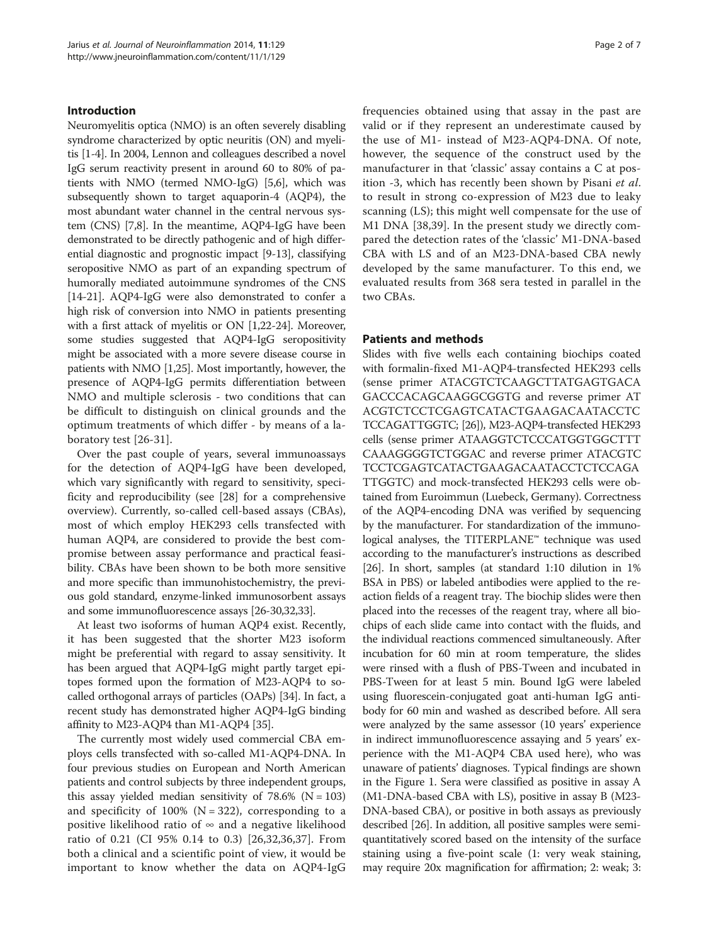# Introduction

Neuromyelitis optica (NMO) is an often severely disabling syndrome characterized by optic neuritis (ON) and myelitis [[1-4\]](#page-5-0). In 2004, Lennon and colleagues described a novel IgG serum reactivity present in around 60 to 80% of patients with NMO (termed NMO-IgG) [\[5,6\]](#page-5-0), which was subsequently shown to target aquaporin-4 (AQP4), the most abundant water channel in the central nervous system (CNS) [[7,8\]](#page-5-0). In the meantime, AQP4-IgG have been demonstrated to be directly pathogenic and of high differential diagnostic and prognostic impact [[9-13](#page-5-0)], classifying seropositive NMO as part of an expanding spectrum of humorally mediated autoimmune syndromes of the CNS [[14](#page-5-0)-[21](#page-5-0)]. AQP4-IgG were also demonstrated to confer a high risk of conversion into NMO in patients presenting with a first attack of myelitis or ON [[1](#page-5-0),[22](#page-5-0)-[24](#page-5-0)]. Moreover, some studies suggested that AQP4-IgG seropositivity might be associated with a more severe disease course in patients with NMO [[1,25](#page-5-0)]. Most importantly, however, the presence of AQP4-IgG permits differentiation between NMO and multiple sclerosis - two conditions that can be difficult to distinguish on clinical grounds and the optimum treatments of which differ - by means of a laboratory test [[26-31](#page-5-0)].

Over the past couple of years, several immunoassays for the detection of AQP4-IgG have been developed, which vary significantly with regard to sensitivity, specificity and reproducibility (see [\[28](#page-5-0)] for a comprehensive overview). Currently, so-called cell-based assays (CBAs), most of which employ HEK293 cells transfected with human AQP4, are considered to provide the best compromise between assay performance and practical feasibility. CBAs have been shown to be both more sensitive and more specific than immunohistochemistry, the previous gold standard, enzyme-linked immunosorbent assays and some immunofluorescence assays [[26-30,32,33\]](#page-5-0).

At least two isoforms of human AQP4 exist. Recently, it has been suggested that the shorter M23 isoform might be preferential with regard to assay sensitivity. It has been argued that AQP4-IgG might partly target epitopes formed upon the formation of M23-AQP4 to socalled orthogonal arrays of particles (OAPs) [[34](#page-6-0)]. In fact, a recent study has demonstrated higher AQP4-IgG binding affinity to M23-AQP4 than M1-AQP4 [\[35\]](#page-6-0).

The currently most widely used commercial CBA employs cells transfected with so-called M1-AQP4-DNA. In four previous studies on European and North American patients and control subjects by three independent groups, this assay yielded median sensitivity of  $78.6\%$  (N = 103) and specificity of  $100\%$  (N = 322), corresponding to a positive likelihood ratio of  $\infty$  and a negative likelihood ratio of 0.21 (CI 95% 0.14 to 0.3) [\[26](#page-5-0),[32,](#page-5-0)[36,37](#page-6-0)]. From both a clinical and a scientific point of view, it would be important to know whether the data on AQP4-IgG frequencies obtained using that assay in the past are valid or if they represent an underestimate caused by the use of M1- instead of M23-AQP4-DNA. Of note, however, the sequence of the construct used by the manufacturer in that 'classic' assay contains a C at position -3, which has recently been shown by Pisani et al. to result in strong co-expression of M23 due to leaky scanning (LS); this might well compensate for the use of M1 DNA [\[38,39](#page-6-0)]. In the present study we directly compared the detection rates of the 'classic' M1-DNA-based CBA with LS and of an M23-DNA-based CBA newly developed by the same manufacturer. To this end, we evaluated results from 368 sera tested in parallel in the two CBAs.

## Patients and methods

Slides with five wells each containing biochips coated with formalin-fixed M1-AQP4-transfected HEK293 cells (sense primer ATACGTCTCAAGCTTATGAGTGACA GACCCACAGCAAGGCGGTG and reverse primer AT ACGTCTCCTCGAGTCATACTGAAGACAATACCTC TCCAGATTGGTC; [\[26](#page-5-0)]), M23-AQP4-transfected HEK293 cells (sense primer ATAAGGTCTCCCATGGTGGCTTT CAAAGGGGTCTGGAC and reverse primer ATACGTC TCCTCGAGTCATACTGAAGACAATACCTCTCCAGA TTGGTC) and mock-transfected HEK293 cells were obtained from Euroimmun (Luebeck, Germany). Correctness of the AQP4-encoding DNA was verified by sequencing by the manufacturer. For standardization of the immunological analyses, the TITERPLANE™ technique was used according to the manufacturer's instructions as described [[26](#page-5-0)]. In short, samples (at standard 1:10 dilution in 1% BSA in PBS) or labeled antibodies were applied to the reaction fields of a reagent tray. The biochip slides were then placed into the recesses of the reagent tray, where all biochips of each slide came into contact with the fluids, and the individual reactions commenced simultaneously. After incubation for 60 min at room temperature, the slides were rinsed with a flush of PBS-Tween and incubated in PBS-Tween for at least 5 min. Bound IgG were labeled using fluorescein-conjugated goat anti-human IgG antibody for 60 min and washed as described before. All sera were analyzed by the same assessor (10 years' experience in indirect immunofluorescence assaying and 5 years' experience with the M1-AQP4 CBA used here), who was unaware of patients' diagnoses. Typical findings are shown in the Figure [1.](#page-2-0) Sera were classified as positive in assay A (M1-DNA-based CBA with LS), positive in assay B (M23- DNA-based CBA), or positive in both assays as previously described [\[26](#page-5-0)]. In addition, all positive samples were semiquantitatively scored based on the intensity of the surface staining using a five-point scale (1: very weak staining, may require 20x magnification for affirmation; 2: weak; 3: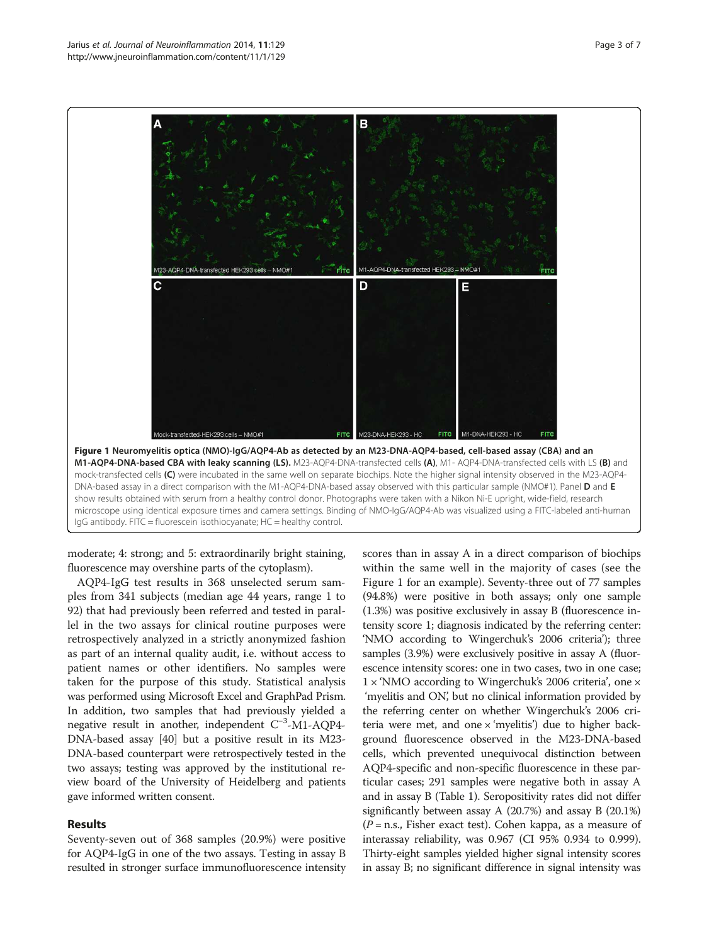<span id="page-2-0"></span>

moderate; 4: strong; and 5: extraordinarily bright staining, fluorescence may overshine parts of the cytoplasm).

AQP4-IgG test results in 368 unselected serum samples from 341 subjects (median age 44 years, range 1 to 92) that had previously been referred and tested in parallel in the two assays for clinical routine purposes were retrospectively analyzed in a strictly anonymized fashion as part of an internal quality audit, i.e. without access to patient names or other identifiers. No samples were taken for the purpose of this study. Statistical analysis was performed using Microsoft Excel and GraphPad Prism. In addition, two samples that had previously yielded a negative result in another, independent C<sup>-3</sup>-M1-AQP4-DNA-based assay [\[40](#page-6-0)] but a positive result in its M23- DNA-based counterpart were retrospectively tested in the two assays; testing was approved by the institutional review board of the University of Heidelberg and patients gave informed written consent.

# Results

Seventy-seven out of 368 samples (20.9%) were positive for AQP4-IgG in one of the two assays. Testing in assay B resulted in stronger surface immunofluorescence intensity scores than in assay A in a direct comparison of biochips within the same well in the majority of cases (see the Figure 1 for an example). Seventy-three out of 77 samples (94.8%) were positive in both assays; only one sample (1.3%) was positive exclusively in assay B (fluorescence intensity score 1; diagnosis indicated by the referring center: 'NMO according to Wingerchuk's 2006 criteria'); three samples (3.9%) were exclusively positive in assay A (fluorescence intensity scores: one in two cases, two in one case; 1 × 'NMO according to Wingerchuk's 2006 criteria', one × 'myelitis and ON', but no clinical information provided by the referring center on whether Wingerchuk's 2006 criteria were met, and one  $\times$  'myelitis') due to higher background fluorescence observed in the M23-DNA-based cells, which prevented unequivocal distinction between AQP4-specific and non-specific fluorescence in these particular cases; 291 samples were negative both in assay A and in assay B (Table [1](#page-3-0)). Seropositivity rates did not differ significantly between assay A (20.7%) and assay B (20.1%)  $(P = n.s.,$  Fisher exact test). Cohen kappa, as a measure of interassay reliability, was 0.967 (CI 95% 0.934 to 0.999). Thirty-eight samples yielded higher signal intensity scores in assay B; no significant difference in signal intensity was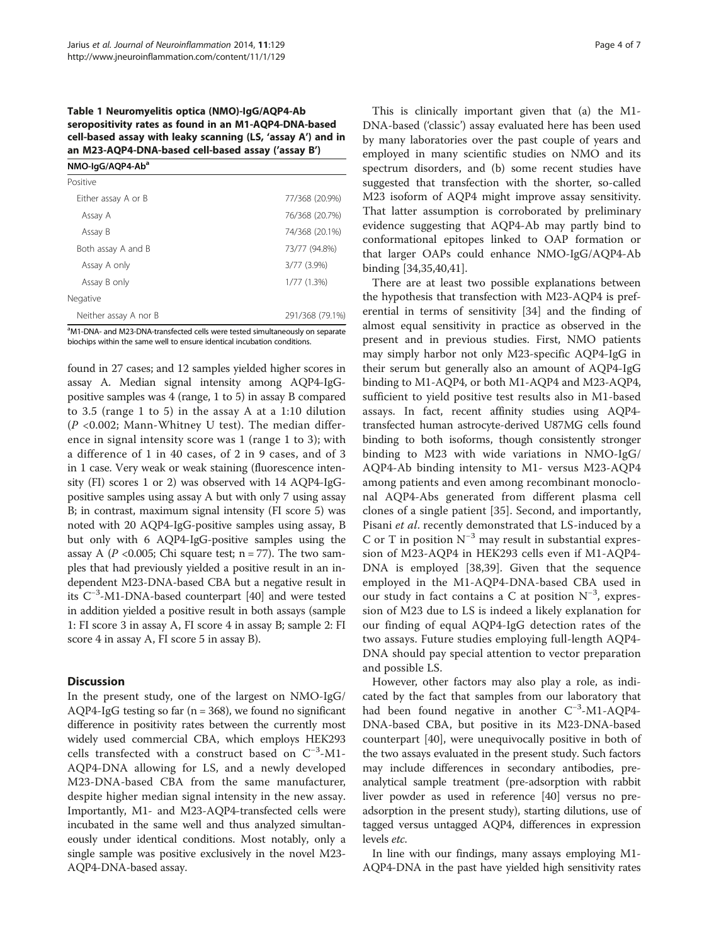<span id="page-3-0"></span>Table 1 Neuromyelitis optica (NMO)-IgG/AQP4-Ab seropositivity rates as found in an M1-AQP4-DNA-based cell-based assay with leaky scanning (LS, 'assay A') and in an M23-AQP4-DNA-based cell-based assay ('assay B')

| NMO-IgG/AQP4-Ab <sup>a</sup> |                 |
|------------------------------|-----------------|
| Positive                     |                 |
| Either assay A or B          | 77/368 (20.9%)  |
| Assay A                      | 76/368 (20.7%)  |
| Assay B                      | 74/368 (20.1%)  |
| Both assay A and B           | 73/77 (94.8%)   |
| Assay A only                 | 3/77 (3.9%)     |
| Assay B only                 | 1/77(1.3%)      |
| Negative                     |                 |
| Neither assay A nor B        | 291/368 (79.1%) |

<sup>a</sup>M1-DNA- and M23-DNA-transfected cells were tested simultaneously on separate biochips within the same well to ensure identical incubation conditions.

found in 27 cases; and 12 samples yielded higher scores in assay A. Median signal intensity among AQP4-IgGpositive samples was 4 (range, 1 to 5) in assay B compared to 3.5 (range 1 to 5) in the assay A at a 1:10 dilution  $(P<0.002;$  Mann-Whitney U test). The median difference in signal intensity score was 1 (range 1 to 3); with a difference of 1 in 40 cases, of 2 in 9 cases, and of 3 in 1 case. Very weak or weak staining (fluorescence intensity (FI) scores 1 or 2) was observed with 14 AQP4-IgGpositive samples using assay A but with only 7 using assay B; in contrast, maximum signal intensity (FI score 5) was noted with 20 AQP4-IgG-positive samples using assay, B but only with 6 AQP4-IgG-positive samples using the assay A ( $P$  <0.005; Chi square test; n = 77). The two samples that had previously yielded a positive result in an independent M23-DNA-based CBA but a negative result in its C−<sup>3</sup> -M1-DNA-based counterpart [\[40](#page-6-0)] and were tested in addition yielded a positive result in both assays (sample 1: FI score 3 in assay A, FI score 4 in assay B; sample 2: FI score 4 in assay A, FI score 5 in assay B).

# **Discussion**

In the present study, one of the largest on NMO-IgG/ AQP4-IgG testing so far ( $n = 368$ ), we found no significant difference in positivity rates between the currently most widely used commercial CBA, which employs HEK293 cells transfected with a construct based on C−<sup>3</sup> -M1- AQP4-DNA allowing for LS, and a newly developed M23-DNA-based CBA from the same manufacturer, despite higher median signal intensity in the new assay. Importantly, M1- and M23-AQP4-transfected cells were incubated in the same well and thus analyzed simultaneously under identical conditions. Most notably, only a single sample was positive exclusively in the novel M23- AQP4-DNA-based assay.

This is clinically important given that (a) the M1- DNA-based ('classic') assay evaluated here has been used by many laboratories over the past couple of years and employed in many scientific studies on NMO and its spectrum disorders, and (b) some recent studies have suggested that transfection with the shorter, so-called M23 isoform of AQP4 might improve assay sensitivity. That latter assumption is corroborated by preliminary evidence suggesting that AQP4-Ab may partly bind to conformational epitopes linked to OAP formation or that larger OAPs could enhance NMO-IgG/AQP4-Ab binding [[34,35,40,41\]](#page-6-0).

There are at least two possible explanations between the hypothesis that transfection with M23-AQP4 is preferential in terms of sensitivity [[34\]](#page-6-0) and the finding of almost equal sensitivity in practice as observed in the present and in previous studies. First, NMO patients may simply harbor not only M23-specific AQP4-IgG in their serum but generally also an amount of AQP4-IgG binding to M1-AQP4, or both M1-AQP4 and M23-AQP4, sufficient to yield positive test results also in M1-based assays. In fact, recent affinity studies using AQP4 transfected human astrocyte-derived U87MG cells found binding to both isoforms, though consistently stronger binding to M23 with wide variations in NMO-IgG/ AQP4-Ab binding intensity to M1- versus M23-AQP4 among patients and even among recombinant monoclonal AQP4-Abs generated from different plasma cell clones of a single patient [[35](#page-6-0)]. Second, and importantly, Pisani et al. recently demonstrated that LS-induced by a C or T in position  $N^{-3}$  may result in substantial expression of M23-AQP4 in HEK293 cells even if M1-AQP4- DNA is employed [[38,39\]](#page-6-0). Given that the sequence employed in the M1-AQP4-DNA-based CBA used in our study in fact contains a C at position N<sup>-3</sup>, expression of M23 due to LS is indeed a likely explanation for our finding of equal AQP4-IgG detection rates of the two assays. Future studies employing full-length AQP4- DNA should pay special attention to vector preparation and possible LS.

However, other factors may also play a role, as indicated by the fact that samples from our laboratory that had been found negative in another C<sup>-3</sup>-M1-AQP4-DNA-based CBA, but positive in its M23-DNA-based counterpart [[40](#page-6-0)], were unequivocally positive in both of the two assays evaluated in the present study. Such factors may include differences in secondary antibodies, preanalytical sample treatment (pre-adsorption with rabbit liver powder as used in reference [\[40\]](#page-6-0) versus no preadsorption in the present study), starting dilutions, use of tagged versus untagged AQP4, differences in expression levels etc.

In line with our findings, many assays employing M1- AQP4-DNA in the past have yielded high sensitivity rates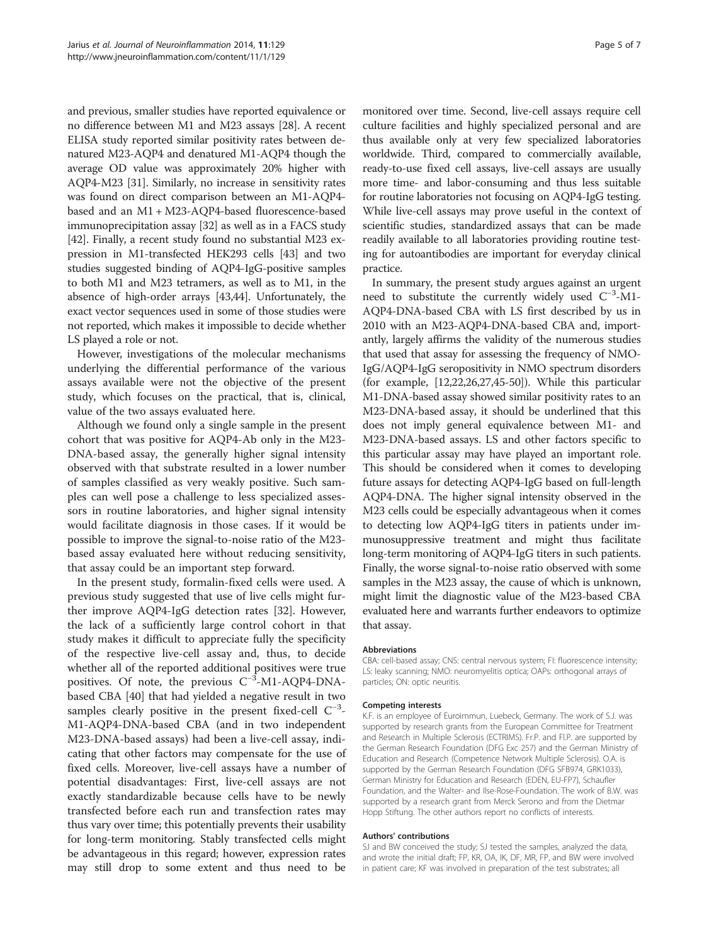and previous, smaller studies have reported equivalence or no difference between M1 and M23 assays [\[28\]](#page-5-0). A recent ELISA study reported similar positivity rates between denatured M23-AQP4 and denatured M1-AQP4 though the average OD value was approximately 20% higher with AQP4-M23 [[31\]](#page-5-0). Similarly, no increase in sensitivity rates was found on direct comparison between an M1-AQP4 based and an M1 + M23-AQP4-based fluorescence-based immunoprecipitation assay [\[32](#page-5-0)] as well as in a FACS study [[42](#page-6-0)]. Finally, a recent study found no substantial M23 expression in M1-transfected HEK293 cells [\[43\]](#page-6-0) and two studies suggested binding of AQP4-IgG-positive samples to both M1 and M23 tetramers, as well as to M1, in the absence of high-order arrays [\[43,44](#page-6-0)]. Unfortunately, the exact vector sequences used in some of those studies were not reported, which makes it impossible to decide whether LS played a role or not.

However, investigations of the molecular mechanisms underlying the differential performance of the various assays available were not the objective of the present study, which focuses on the practical, that is, clinical, value of the two assays evaluated here.

Although we found only a single sample in the present cohort that was positive for AQP4-Ab only in the M23- DNA-based assay, the generally higher signal intensity observed with that substrate resulted in a lower number of samples classified as very weakly positive. Such samples can well pose a challenge to less specialized assessors in routine laboratories, and higher signal intensity would facilitate diagnosis in those cases. If it would be possible to improve the signal-to-noise ratio of the M23 based assay evaluated here without reducing sensitivity, that assay could be an important step forward.

In the present study, formalin-fixed cells were used. A previous study suggested that use of live cells might further improve AQP4-IgG detection rates [[32\]](#page-5-0). However, the lack of a sufficiently large control cohort in that study makes it difficult to appreciate fully the specificity of the respective live-cell assay and, thus, to decide whether all of the reported additional positives were true positives. Of note, the previous C<sup>-3</sup>-M1-AQP4-DNAbased CBA [[40](#page-6-0)] that had yielded a negative result in two samples clearly positive in the present fixed-cell C<sup>-3</sup>-M1-AQP4-DNA-based CBA (and in two independent M23-DNA-based assays) had been a live-cell assay, indicating that other factors may compensate for the use of fixed cells. Moreover, live-cell assays have a number of potential disadvantages: First, live-cell assays are not exactly standardizable because cells have to be newly transfected before each run and transfection rates may thus vary over time; this potentially prevents their usability for long-term monitoring. Stably transfected cells might be advantageous in this regard; however, expression rates may still drop to some extent and thus need to be

monitored over time. Second, live-cell assays require cell culture facilities and highly specialized personal and are thus available only at very few specialized laboratories worldwide. Third, compared to commercially available, ready-to-use fixed cell assays, live-cell assays are usually more time- and labor-consuming and thus less suitable for routine laboratories not focusing on AQP4-IgG testing. While live-cell assays may prove useful in the context of scientific studies, standardized assays that can be made readily available to all laboratories providing routine testing for autoantibodies are important for everyday clinical practice.

In summary, the present study argues against an urgent need to substitute the currently widely used C−<sup>3</sup> -M1- AQP4-DNA-based CBA with LS first described by us in 2010 with an M23-AQP4-DNA-based CBA and, importantly, largely affirms the validity of the numerous studies that used that assay for assessing the frequency of NMO-IgG/AQP4-IgG seropositivity in NMO spectrum disorders (for example, [\[12,22,26,27,](#page-5-0)[45](#page-6-0)-[50](#page-6-0)]). While this particular M1-DNA-based assay showed similar positivity rates to an M23-DNA-based assay, it should be underlined that this does not imply general equivalence between M1- and M23-DNA-based assays. LS and other factors specific to this particular assay may have played an important role. This should be considered when it comes to developing future assays for detecting AQP4-IgG based on full-length AQP4-DNA. The higher signal intensity observed in the M23 cells could be especially advantageous when it comes to detecting low AQP4-IgG titers in patients under immunosuppressive treatment and might thus facilitate long-term monitoring of AQP4-IgG titers in such patients. Finally, the worse signal-to-noise ratio observed with some samples in the M23 assay, the cause of which is unknown, might limit the diagnostic value of the M23-based CBA evaluated here and warrants further endeavors to optimize that assay.

#### Abbreviations

CBA: cell-based assay; CNS: central nervous system; FI: fluorescence intensity; LS: leaky scanning; NMO: neuromyelitis optica; OAPs: orthogonal arrays of particles; ON: optic neuritis.

#### Competing interests

K.F. is an employee of Euroimmun, Luebeck, Germany. The work of S.J. was supported by research grants from the European Committee for Treatment and Research in Multiple Sclerosis (ECTRIMS). Fr.P. and Fl.P. are supported by the German Research Foundation (DFG Exc 257) and the German Ministry of Education and Research (Competence Network Multiple Sclerosis). O.A. is supported by the German Research Foundation (DFG SFB974, GRK1033), German Ministry for Education and Research (EDEN, EU-FP7), Schaufler Foundation, and the Walter- and Ilse-Rose-Foundation. The work of B.W. was supported by a research grant from Merck Serono and from the Dietmar Hopp Stiftung. The other authors report no conflicts of interests.

#### Authors' contributions

SJ and BW conceived the study; SJ tested the samples, analyzed the data, and wrote the initial draft; FP, KR, OA, IK, DF, MR, FP, and BW were involved in patient care; KF was involved in preparation of the test substrates; all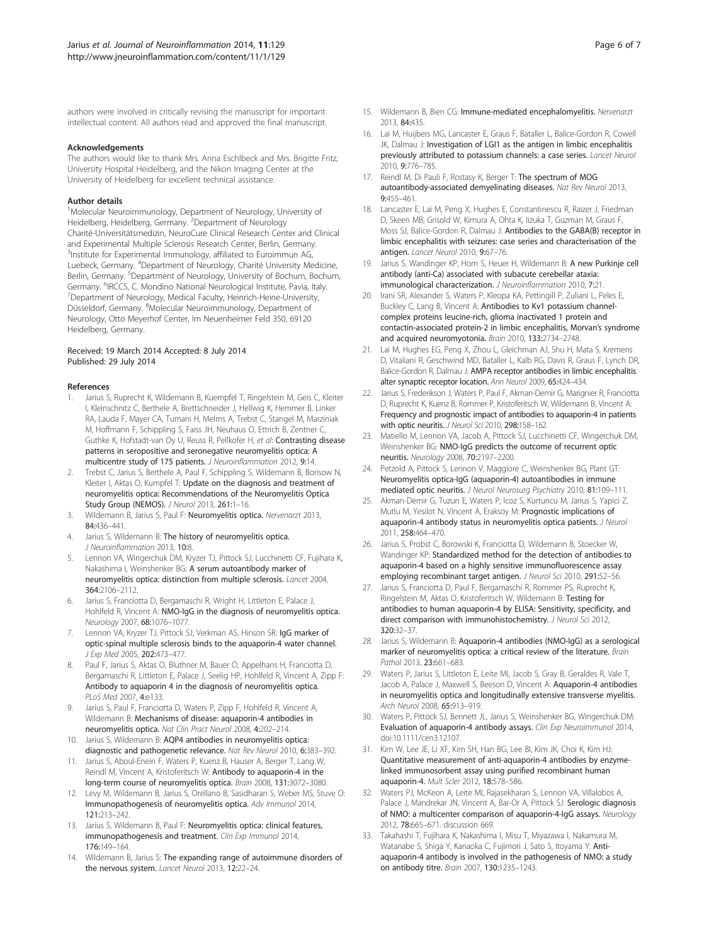<span id="page-5-0"></span>authors were involved in critically revising the manuscript for important intellectual content. All authors read and approved the final manuscript.

#### Acknowledgements

The authors would like to thank Mrs. Anna Eschlbeck and Mrs. Brigitte Fritz, University Hospital Heidelberg, and the Nikon Imaging Center at the University of Heidelberg for excellent technical assistance.

#### Author details

<sup>1</sup>Molecular Neuroimmunology, Department of Neurology, University of Heidelberg, Heidelberg, Germany. <sup>2</sup>Department of Neurology Charité-Universitätsmedizin, NeuroCure Clinical Research Center and Clinical and Experimental Multiple Sclerosis Research Center, Berlin, Germany. <sup>3</sup>Institute for Experimental Immunology, affiliated to Euroimmun AG, Luebeck, Germany. <sup>4</sup>Department of Neurology, Charité University Medicine, Berlin, Germany. <sup>5</sup>Department of Neurology, University of Bochum, Bochum, Germany. <sup>6</sup>IRCCS, C. Mondino National Neurological Institute, Pavia, Italy.<br><sup>7</sup>Department of Neurology, Medical Eaculty, Heinrich-Heine-University. Department of Neurology, Medical Faculty, Heinrich-Heine-University, Düsseldorf, Germany. <sup>8</sup>Molecular Neuroimmunology, Department of Neurology, Otto Meyerhof Center, Im Neuenheimer Feld 350, 69120 Heidelberg, Germany.

#### Received: 19 March 2014 Accepted: 8 July 2014 Published: 29 July 2014

#### References

- 1. Jarius S, Ruprecht K, Wildemann B, Kuempfel T, Ringelstein M, Geis C, Kleiter I, Kleinschnitz C, Berthele A, Brettschneider J, Hellwig K, Hemmer B, Linker RA, Lauda F, Mayer CA, Tumani H, Melms A, Trebst C, Stangel M, Marziniak M, Hoffmann F, Schippling S, Faiss JH, Neuhaus O, Ettrich B, Zentner C, Guthke K, Hofstadt-van Oy U, Reuss R, Pellkofer H, et al: Contrasting disease patterns in seropositive and seronegative neuromyelitis optica: A multicentre study of 175 patients. J Neuroinflammation 2012, 9:14.
- 2. Trebst C, Jarius S, Berthele A, Paul F, Schippling S, Wildemann B, Borisow N, Kleiter I, Aktas O, Kumpfel T: Update on the diagnosis and treatment of neuromyelitis optica: Recommendations of the Neuromyelitis Optica Study Group (NEMOS). J Neurol 2013, 261:1–16.
- 3. Wildemann B, Jarius S, Paul F: Neuromyelitis optica. Nervenarzt 2013, 84:436–441.
- 4. Jarius S, Wildemann B: The history of neuromyelitis optica. J Neuroinflammation 2013, 10:8.
- 5. Lennon VA, Wingerchuk DM, Kryzer TJ, Pittock SJ, Lucchinetti CF, Fujihara K, Nakashima I, Weinshenker BG: A serum autoantibody marker of neuromyelitis optica: distinction from multiple sclerosis. Lancet 2004, 364:2106–2112.
- Jarius S, Franciotta D, Bergamaschi R, Wright H, Littleton E, Palace J, Hohlfeld R, Vincent A: NMO-IgG in the diagnosis of neuromyelitis optica. Neurology 2007, 68:1076–1077.
- 7. Lennon VA, Kryzer TJ, Pittock SJ, Verkman AS, Hinson SR: IgG marker of optic-spinal multiple sclerosis binds to the aquaporin-4 water channel. J Exp Med 2005, 202:473–477.
- Paul F, Jarius S, Aktas O, Bluthner M, Bauer O, Appelhans H, Franciotta D, Bergamaschi R, Littleton E, Palace J, Seelig HP, Hohlfeld R, Vincent A, Zipp F: Antibody to aquaporin 4 in the diagnosis of neuromyelitis optica. PLoS Med 2007, 4:e133.
- 9. Jarius S, Paul F, Franciotta D, Waters P, Zipp F, Hohlfeld R, Vincent A, Wildemann B: Mechanisms of disease: aquaporin-4 antibodies in neuromyelitis optica. Nat Clin Pract Neurol 2008, 4:202–214.
- 10. Jarius S, Wildemann B: AQP4 antibodies in neuromyelitis optica: diagnostic and pathogenetic relevance. Nat Rev Neurol 2010, 6:383–392.
- 11. Jarius S, Aboul-Enein F, Waters P, Kuenz B, Hauser A, Berger T, Lang W, Reindl M, Vincent A, Kristoferitsch W: Antibody to aquaporin-4 in the long-term course of neuromyelitis optica. Brain 2008, 131:3072–3080.
- 12. Levy M, Wildemann B, Jarius S, Orellano B, Sasidharan S, Weber MS, Stuve O: Immunopathogenesis of neuromyelitis optica. Adv Immunol 2014, 121:213–242.
- 13. Jarius S, Wildemann B, Paul F: Neuromyelitis optica: clinical features, immunopathogenesis and treatment. Clin Exp Immunol 2014, 176:149–164.
- 14. Wildemann B, Jarius S: The expanding range of autoimmune disorders of the nervous system. Lancet Neurol 2013, 12:22–24.
- 15. Wildemann B, Bien CG: Immune-mediated encephalomyelitis. Nervenarzt 2013, 84:435.
- 16. Lai M, Huijbers MG, Lancaster E, Graus F, Bataller L, Balice-Gordon R, Cowell JK, Dalmau J: Investigation of LGI1 as the antigen in limbic encephalitis previously attributed to potassium channels: a case series. Lancet Neurol 2010, 9:776–785.
- 17. Reindl M, Di Pauli F, Rostasy K, Berger T: The spectrum of MOG autoantibody-associated demyelinating diseases. Nat Rev Neurol 2013, 9:455–461.
- 18. Lancaster E, Lai M, Peng X, Hughes E, Constantinescu R, Raizer J, Friedman D, Skeen MB, Grisold W, Kimura A, Ohta K, Iizuka T, Guzman M, Graus F, Moss SJ, Balice-Gordon R, Dalmau J: Antibodies to the GABA(B) receptor in limbic encephalitis with seizures: case series and characterisation of the antigen. Lancet Neurol 2010, 9:67–76.
- 19. Jarius S, Wandinger KP, Horn S, Heuer H, Wildemann B: A new Purkinje cell antibody (anti-Ca) associated with subacute cerebellar ataxia: immunological characterization. J Neuroinflammation 2010, 7:21.
- 20. Irani SR, Alexander S, Waters P, Kleopa KA, Pettingill P, Zuliani L, Peles E, Buckley C, Lang B, Vincent A: Antibodies to Kv1 potassium channelcomplex proteins leucine-rich, glioma inactivated 1 protein and contactin-associated protein-2 in limbic encephalitis, Morvan's syndrome and acquired neuromyotonia. Brain 2010, 133:2734–2748.
- 21. Lai M, Hughes EG, Peng X, Zhou L, Gleichman AJ, Shu H, Mata S, Kremens D, Vitaliani R, Geschwind MD, Bataller L, Kalb RG, Davis R, Graus F, Lynch DR, Balice-Gordon R, Dalmau J: AMPA receptor antibodies in limbic encephalitis alter synaptic receptor location. Ann Neurol 2009, 65:424–434.
- 22. Jarius S, Frederikson J, Waters P, Paul F, Akman-Demir G, Marignier R, Franciotta D, Ruprecht K, Kuenz B, Rommer P, Kristoferitsch W, Wildemann B, Vincent A: Frequency and prognostic impact of antibodies to aquaporin-4 in patients with optic neuritis. *J Neurol Sci* 2010, 298:158-162.
- 23. Matiello M, Lennon VA, Jacob A, Pittock SJ, Lucchinetti CF, Wingerchuk DM, Weinshenker BG: NMO-IgG predicts the outcome of recurrent optic neuritis. Neurology 2008, 70:2197–2200.
- 24. Petzold A, Pittock S, Lennon V, Maggiore C, Weinshenker BG, Plant GT: Neuromyelitis optica-IgG (aquaporin-4) autoantibodies in immune mediated optic neuritis. J Neurol Neurosurg Psychiatry 2010, 81:109–111.
- 25. Akman-Demir G, Tuzun E, Waters P, Icoz S, Kurtuncu M, Jarius S, Yapici Z, Mutlu M, Yesilot N, Vincent A, Eraksoy M: Prognostic implications of aquaporin-4 antibody status in neuromyelitis optica patients. J Neurol 2011, 258:464–470.
- 26. Jarius S, Probst C, Borowski K, Franciotta D, Wildemann B, Stoecker W, Wandinger KP: Standardized method for the detection of antibodies to aquaporin-4 based on a highly sensitive immunofluorescence assay employing recombinant target antigen. J Neurol Sci 2010, 291:52-56.
- 27. Jarius S, Franciotta D, Paul F, Bergamaschi R, Rommer PS, Ruprecht K, Ringelstein M, Aktas O, Kristoferitsch W, Wildemann B: Testing for antibodies to human aquaporin-4 by ELISA: Sensitivity, specificity, and direct comparison with immunohistochemistry. J Neurol Sci 2012, 320:32–37.
- 28. Jarius S, Wildemann B: Aquaporin-4 antibodies (NMO-IgG) as a serological marker of neuromyelitis optica: a critical review of the literature. Brain Pathol 2013, 23:661-683.
- 29. Waters P, Jarius S, Littleton E, Leite MI, Jacob S, Gray B, Geraldes R, Vale T, Jacob A, Palace J, Maxwell S, Beeson D, Vincent A: Aquaporin-4 antibodies in neuromyelitis optica and longitudinally extensive transverse myelitis. Arch Neurol 2008, 65:913–919.
- 30. Waters P, Pittock SJ, Bennett JL, Jarius S, Weinshenker BG, Wingerchuk DM: Evaluation of aquaporin-4 antibody assays. Clin Exp Neuroimmunol 2014, doi:10.1111/cen3.12107.
- 31. Kim W, Lee JE, Li XF, Kim SH, Han BG, Lee BI, Kim JK, Choi K, Kim HJ: Quantitative measurement of anti-aquaporin-4 antibodies by enzymelinked immunosorbent assay using purified recombinant human aquaporin-4. Mult Scler 2012, 18:578–586.
- 32. Waters PJ, McKeon A, Leite MI, Rajasekharan S, Lennon VA, Villalobos A, Palace J, Mandrekar JN, Vincent A, Bar-Or A, Pittock SJ: Serologic diagnosis of NMO: a multicenter comparison of aquaporin-4-IgG assays. Neurology 2012, 78:665–671. discussion 669.
- 33. Takahashi T, Fujihara K, Nakashima I, Misu T, Miyazawa I, Nakamura M, Watanabe S, Shiga Y, Kanaoka C, Fujimori J, Sato S, Itoyama Y: Antiaquaporin-4 antibody is involved in the pathogenesis of NMO: a study on antibody titre. Brain 2007, 130:1235–1243.